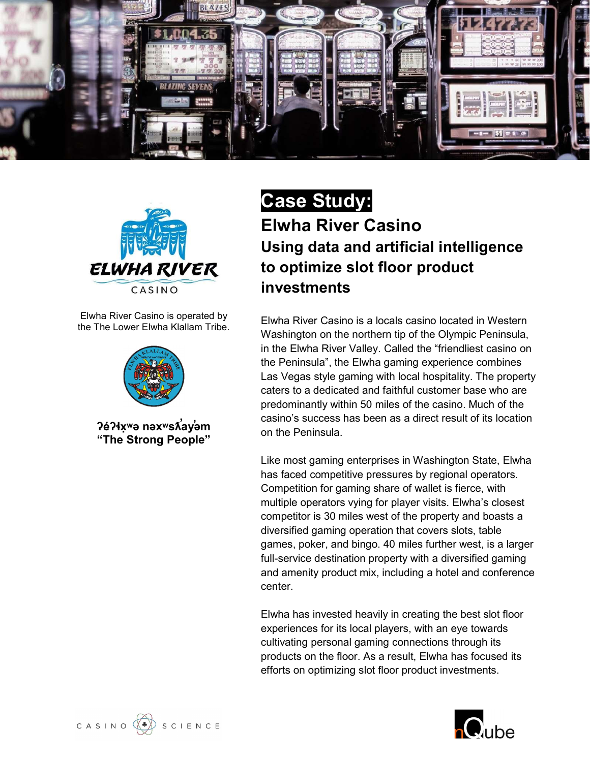



Elwha River Casino is operated by the The Lower Elwha Klallam Tribe.



?éʔɬxʷə nəxʷsʌี่ayํəm "The Strong People"

### Case Study: Elwha River Casino Using data and artificial intelligence to optimize slot floor product investments

Elwha River Casino is a locals casino located in Western Washington on the northern tip of the Olympic Peninsula, in the Elwha River Valley. Called the "friendliest casino on the Peninsula", the Elwha gaming experience combines Las Vegas style gaming with local hospitality. The property caters to a dedicated and faithful customer base who are predominantly within 50 miles of the casino. Much of the casino's success has been as a direct result of its location on the Peninsula.

Like most gaming enterprises in Washington State, Elwha has faced competitive pressures by regional operators. Competition for gaming share of wallet is fierce, with multiple operators vying for player visits. Elwha's closest competitor is 30 miles west of the property and boasts a diversified gaming operation that covers slots, table games, poker, and bingo. 40 miles further west, is a larger full-service destination property with a diversified gaming and amenity product mix, including a hotel and conference center.

Elwha has invested heavily in creating the best slot floor experiences for its local players, with an eye towards cultivating personal gaming connections through its products on the floor. As a result, Elwha has focused its efforts on optimizing slot floor product investments.

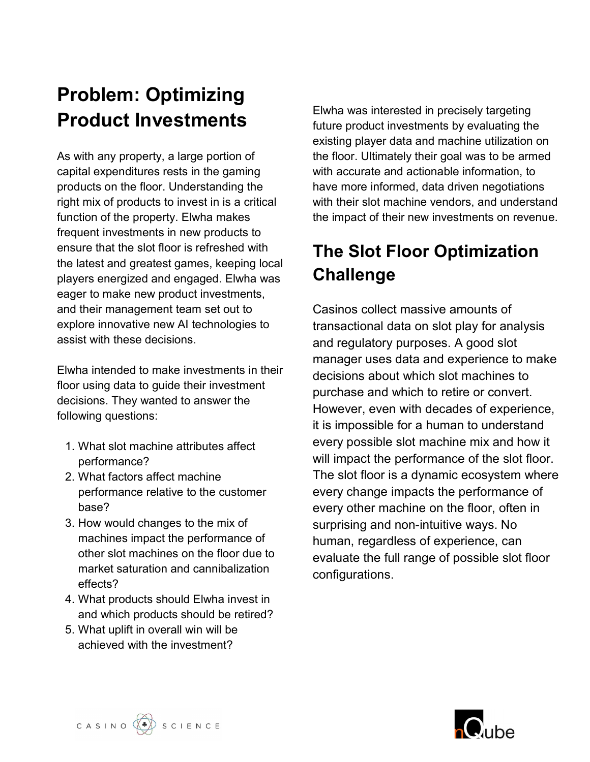## Problem: Optimizing Product Investments

As with any property, a large portion of capital expenditures rests in the gaming products on the floor. Understanding the right mix of products to invest in is a critical function of the property. Elwha makes frequent investments in new products to ensure that the slot floor is refreshed with the latest and greatest games, keeping local players energized and engaged. Elwha was eager to make new product investments, and their management team set out to explore innovative new AI technologies to assist with these decisions.

Elwha intended to make investments in their floor using data to guide their investment decisions. They wanted to answer the following questions:

- 1. What slot machine attributes affect performance?
- 2. What factors affect machine performance relative to the customer base?
- 3. How would changes to the mix of machines impact the performance of other slot machines on the floor due to market saturation and cannibalization effects?
- 4. What products should Elwha invest in and which products should be retired?
- 5. What uplift in overall win will be achieved with the investment?

Elwha was interested in precisely targeting future product investments by evaluating the existing player data and machine utilization on the floor. Ultimately their goal was to be armed with accurate and actionable information, to have more informed, data driven negotiations with their slot machine vendors, and understand the impact of their new investments on revenue.

### The Slot Floor Optimization **Challenge**

Casinos collect massive amounts of transactional data on slot play for analysis and regulatory purposes. A good slot manager uses data and experience to make decisions about which slot machines to purchase and which to retire or convert. However, even with decades of experience, it is impossible for a human to understand every possible slot machine mix and how it will impact the performance of the slot floor. The slot floor is a dynamic ecosystem where every change impacts the performance of every other machine on the floor, often in surprising and non-intuitive ways. No human, regardless of experience, can evaluate the full range of possible slot floor configurations.

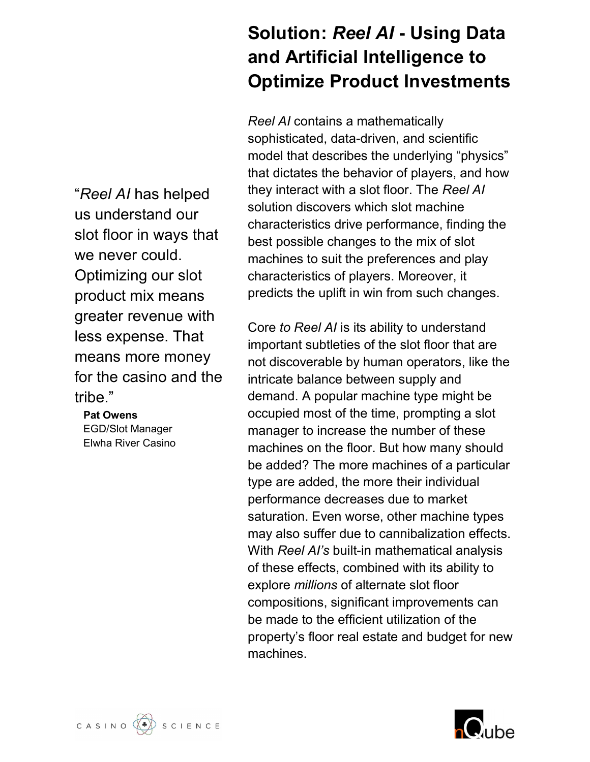"Reel AI has helped us understand our slot floor in ways that we never could. Optimizing our slot product mix means greater revenue with less expense. That means more money for the casino and the tribe."

#### Pat Owens EGD/Slot Manager

Elwha River Casino

### Solution: Reel AI - Using Data and Artificial Intelligence to Optimize Product Investments

Reel AI contains a mathematically sophisticated, data-driven, and scientific model that describes the underlying "physics" that dictates the behavior of players, and how they interact with a slot floor. The Reel AI solution discovers which slot machine characteristics drive performance, finding the best possible changes to the mix of slot machines to suit the preferences and play characteristics of players. Moreover, it predicts the uplift in win from such changes.

Core to Reel AI is its ability to understand important subtleties of the slot floor that are not discoverable by human operators, like the intricate balance between supply and demand. A popular machine type might be occupied most of the time, prompting a slot manager to increase the number of these machines on the floor. But how many should be added? The more machines of a particular type are added, the more their individual performance decreases due to market saturation. Even worse, other machine types may also suffer due to cannibalization effects. With Reel AI's built-in mathematical analysis of these effects, combined with its ability to explore millions of alternate slot floor compositions, significant improvements can be made to the efficient utilization of the property's floor real estate and budget for new machines.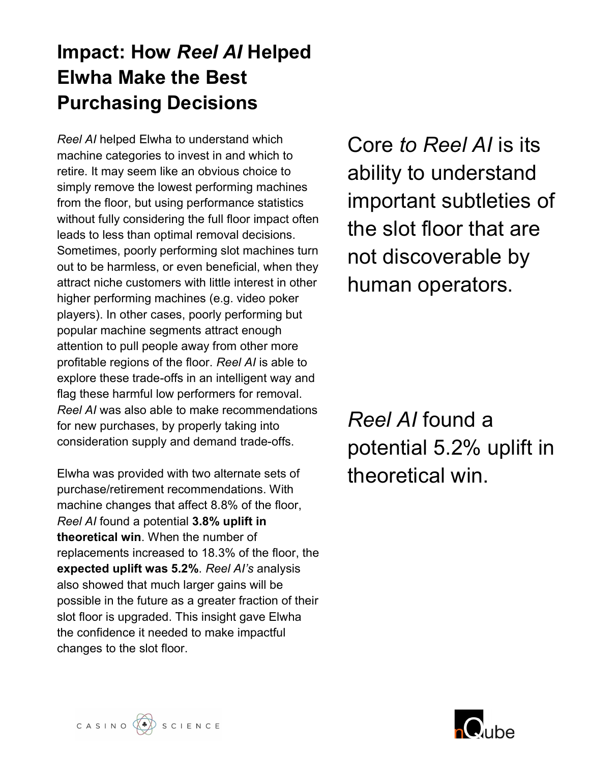### Impact: How Reel AI Helped Elwha Make the Best Purchasing Decisions

Reel AI helped Elwha to understand which machine categories to invest in and which to retire. It may seem like an obvious choice to simply remove the lowest performing machines from the floor, but using performance statistics without fully considering the full floor impact often leads to less than optimal removal decisions. Sometimes, poorly performing slot machines turn out to be harmless, or even beneficial, when they attract niche customers with little interest in other higher performing machines (e.g. video poker players). In other cases, poorly performing but popular machine segments attract enough attention to pull people away from other more profitable regions of the floor. Reel AI is able to explore these trade-offs in an intelligent way and flag these harmful low performers for removal. Reel AI was also able to make recommendations for new purchases, by properly taking into consideration supply and demand trade-offs.

Elwha was provided with two alternate sets of purchase/retirement recommendations. With machine changes that affect 8.8% of the floor, Reel AI found a potential 3.8% uplift in theoretical win. When the number of replacements increased to 18.3% of the floor, the expected uplift was 5.2%. Reel Al's analysis also showed that much larger gains will be possible in the future as a greater fraction of their slot floor is upgraded. This insight gave Elwha the confidence it needed to make impactful changes to the slot floor.

Core to Reel AI is its ability to understand important subtleties of the slot floor that are not discoverable by human operators.

Reel AI found a potential 5.2% uplift in theoretical win.